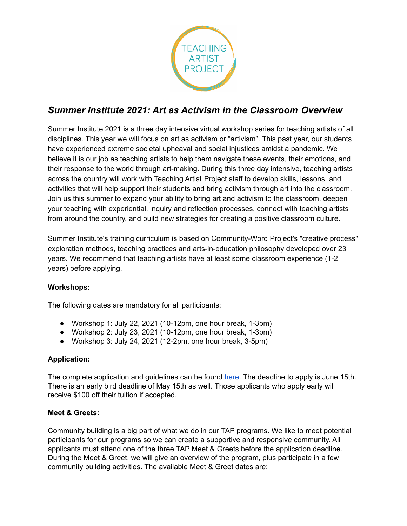

# *Summer Institute 2021: Art as Activism in the Classroom Overview*

Summer Institute 2021 is a three day intensive virtual workshop series for teaching artists of all disciplines. This year we will focus on art as activism or "artivism". This past year, our students have experienced extreme societal upheaval and social injustices amidst a pandemic. We believe it is our job as teaching artists to help them navigate these events, their emotions, and their response to the world through art-making. During this three day intensive, teaching artists across the country will work with Teaching Artist Project staff to develop skills, lessons, and activities that will help support their students and bring activism through art into the classroom. Join us this summer to expand your ability to bring art and activism to the classroom, deepen your teaching with experiential, inquiry and reflection processes, connect with teaching artists from around the country, and build new strategies for creating a positive classroom culture.

Summer Institute's training curriculum is based on Community-Word Project's "creative process" exploration methods, teaching practices and arts-in-education philosophy developed over 23 years. We recommend that teaching artists have at least some classroom experience (1-2 years) before applying.

## **Workshops:**

The following dates are mandatory for all participants:

- Workshop 1: July 22, 2021 (10-12pm, one hour break, 1-3pm)
- Workshop 2: July 23, 2021 (10-12pm, one hour break, 1-3pm)
- Workshop 3: July 24, 2021 (12-2pm, one hour break, 3-5pm)

## **Application:**

The complete application and guidelines can be found [here.](https://docs.google.com/forms/d/e/1FAIpQLSf1_jZp-eMulHbqgLsQdv-4zjE23KG2USN1qucntPr9yC6gbQ/viewform?usp=sf_link) The deadline to apply is June 15th. There is an early bird deadline of May 15th as well. Those applicants who apply early will receive \$100 off their tuition if accepted.

## **Meet & Greets:**

Community building is a big part of what we do in our TAP programs. We like to meet potential participants for our programs so we can create a supportive and responsive community. All applicants must attend one of the three TAP Meet & Greets before the application deadline. During the Meet & Greet, we will give an overview of the program, plus participate in a few community building activities. The available Meet & Greet dates are: